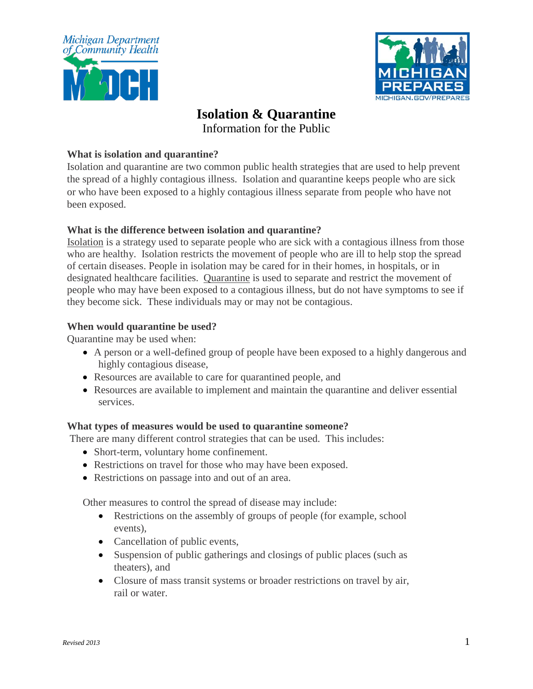



# **Isolation & Quarantine**

Information for the Public

## **What is isolation and quarantine?**

Isolation and quarantine are two common public health strategies that are used to help prevent the spread of a highly contagious illness. Isolation and quarantine keeps people who are sick or who have been exposed to a highly contagious illness separate from people who have not been exposed.

## **What is the difference between isolation and quarantine?**

Isolation is a strategy used to separate people who are sick with a contagious illness from those who are healthy. Isolation restricts the movement of people who are ill to help stop the spread of certain diseases. People in isolation may be cared for in their homes, in hospitals, or in designated healthcare facilities. Quarantine is used to separate and restrict the movement of people who may have been exposed to a contagious illness, but do not have symptoms to see if they become sick. These individuals may or may not be contagious.

## **When would quarantine be used?**

Quarantine may be used when:

- A person or a well-defined group of people have been exposed to a highly dangerous and highly contagious disease,
- Resources are available to care for quarantined people, and
- Resources are available to implement and maintain the quarantine and deliver essential services.

#### **What types of measures would be used to quarantine someone?**

There are many different control strategies that can be used. This includes:

- Short-term, voluntary home confinement.
- Restrictions on travel for those who may have been exposed.
- Restrictions on passage into and out of an area.

Other measures to control the spread of disease may include:

- Restrictions on the assembly of groups of people (for example, school events),
- Cancellation of public events,
- Suspension of public gatherings and closings of public places (such as theaters), and
- Closure of mass transit systems or broader restrictions on travel by air, rail or water.